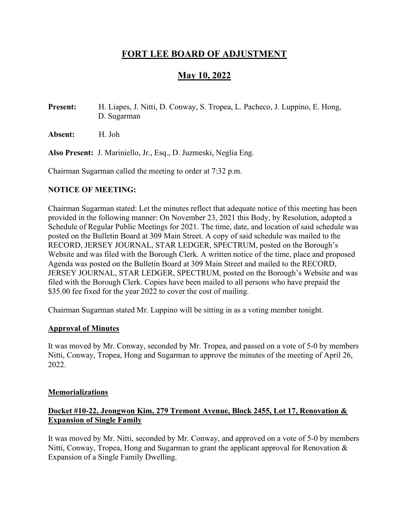# FORT LEE BOARD OF ADJUSTMENT

# May 10, 2022

Present: H. Liapes, J. Nitti, D. Conway, S. Tropea, L. Pacheco, J. Luppino, E. Hong, D. Sugarman

Absent: H. Joh

Also Present: J. Mariniello, Jr., Esq., D. Juzmeski, Neglia Eng.

Chairman Sugarman called the meeting to order at 7:32 p.m.

#### NOTICE OF MEETING:

Chairman Sugarman stated: Let the minutes reflect that adequate notice of this meeting has been provided in the following manner: On November 23, 2021 this Body, by Resolution, adopted a Schedule of Regular Public Meetings for 2021. The time, date, and location of said schedule was posted on the Bulletin Board at 309 Main Street. A copy of said schedule was mailed to the RECORD, JERSEY JOURNAL, STAR LEDGER, SPECTRUM, posted on the Borough's Website and was filed with the Borough Clerk. A written notice of the time, place and proposed Agenda was posted on the Bulletin Board at 309 Main Street and mailed to the RECORD, JERSEY JOURNAL, STAR LEDGER, SPECTRUM, posted on the Borough's Website and was filed with the Borough Clerk. Copies have been mailed to all persons who have prepaid the \$35.00 fee fixed for the year 2022 to cover the cost of mailing.

Chairman Sugarman stated Mr. Luppino will be sitting in as a voting member tonight.

# Approval of Minutes

It was moved by Mr. Conway, seconded by Mr. Tropea, and passed on a vote of 5-0 by members Nitti, Conway, Tropea, Hong and Sugarman to approve the minutes of the meeting of April 26, 2022.

#### **Memorializations**

# Docket #10-22, Jeongwon Kim, 279 Tremont Avenue, Block 2455, Lot 17, Renovation & Expansion of Single Family

It was moved by Mr. Nitti, seconded by Mr. Conway, and approved on a vote of 5-0 by members Nitti, Conway, Tropea, Hong and Sugarman to grant the applicant approval for Renovation & Expansion of a Single Family Dwelling.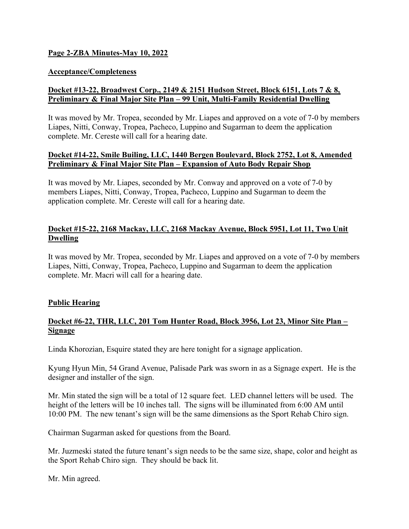# Page 2-ZBA Minutes-May 10, 2022

#### Acceptance/Completeness

# Docket #13-22, Broadwest Corp., 2149 & 2151 Hudson Street, Block 6151, Lots 7 & 8, Preliminary & Final Major Site Plan – 99 Unit, Multi-Family Residential Dwelling

It was moved by Mr. Tropea, seconded by Mr. Liapes and approved on a vote of 7-0 by members Liapes, Nitti, Conway, Tropea, Pacheco, Luppino and Sugarman to deem the application complete. Mr. Cereste will call for a hearing date.

#### Docket #14-22, Smile Builing, LLC, 1440 Bergen Boulevard, Block 2752, Lot 8, Amended Preliminary & Final Major Site Plan – Expansion of Auto Body Repair Shop

It was moved by Mr. Liapes, seconded by Mr. Conway and approved on a vote of 7-0 by members Liapes, Nitti, Conway, Tropea, Pacheco, Luppino and Sugarman to deem the application complete. Mr. Cereste will call for a hearing date.

# Docket #15-22, 2168 Mackay, LLC, 2168 Mackay Avenue, Block 5951, Lot 11, Two Unit Dwelling

It was moved by Mr. Tropea, seconded by Mr. Liapes and approved on a vote of 7-0 by members Liapes, Nitti, Conway, Tropea, Pacheco, Luppino and Sugarman to deem the application complete. Mr. Macri will call for a hearing date.

# Public Hearing

# Docket #6-22, THR, LLC, 201 Tom Hunter Road, Block 3956, Lot 23, Minor Site Plan – **Signage**

Linda Khorozian, Esquire stated they are here tonight for a signage application.

Kyung Hyun Min, 54 Grand Avenue, Palisade Park was sworn in as a Signage expert. He is the designer and installer of the sign.

Mr. Min stated the sign will be a total of 12 square feet. LED channel letters will be used. The height of the letters will be 10 inches tall. The signs will be illuminated from 6:00 AM until 10:00 PM. The new tenant's sign will be the same dimensions as the Sport Rehab Chiro sign.

Chairman Sugarman asked for questions from the Board.

Mr. Juzmeski stated the future tenant's sign needs to be the same size, shape, color and height as the Sport Rehab Chiro sign. They should be back lit.

Mr. Min agreed.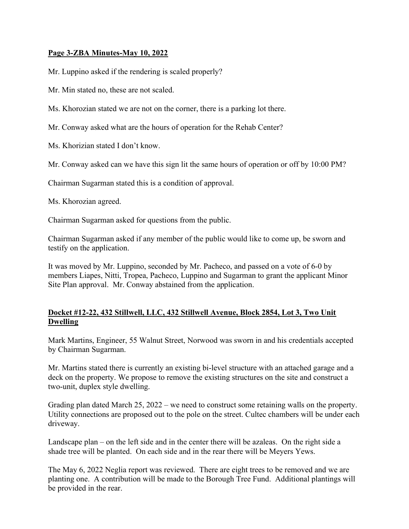# Page 3-ZBA Minutes-May 10, 2022

Mr. Luppino asked if the rendering is scaled properly?

Mr. Min stated no, these are not scaled.

Ms. Khorozian stated we are not on the corner, there is a parking lot there.

Mr. Conway asked what are the hours of operation for the Rehab Center?

Ms. Khorizian stated I don't know.

Mr. Conway asked can we have this sign lit the same hours of operation or off by 10:00 PM?

Chairman Sugarman stated this is a condition of approval.

Ms. Khorozian agreed.

Chairman Sugarman asked for questions from the public.

Chairman Sugarman asked if any member of the public would like to come up, be sworn and testify on the application.

It was moved by Mr. Luppino, seconded by Mr. Pacheco, and passed on a vote of 6-0 by members Liapes, Nitti, Tropea, Pacheco, Luppino and Sugarman to grant the applicant Minor Site Plan approval. Mr. Conway abstained from the application.

# Docket #12-22, 432 Stillwell, LLC, 432 Stillwell Avenue, Block 2854, Lot 3, Two Unit Dwelling

Mark Martins, Engineer, 55 Walnut Street, Norwood was sworn in and his credentials accepted by Chairman Sugarman.

Mr. Martins stated there is currently an existing bi-level structure with an attached garage and a deck on the property. We propose to remove the existing structures on the site and construct a two-unit, duplex style dwelling.

Grading plan dated March 25, 2022 – we need to construct some retaining walls on the property. Utility connections are proposed out to the pole on the street. Cultec chambers will be under each driveway.

Landscape plan – on the left side and in the center there will be azaleas. On the right side a shade tree will be planted. On each side and in the rear there will be Meyers Yews.

The May 6, 2022 Neglia report was reviewed. There are eight trees to be removed and we are planting one. A contribution will be made to the Borough Tree Fund. Additional plantings will be provided in the rear.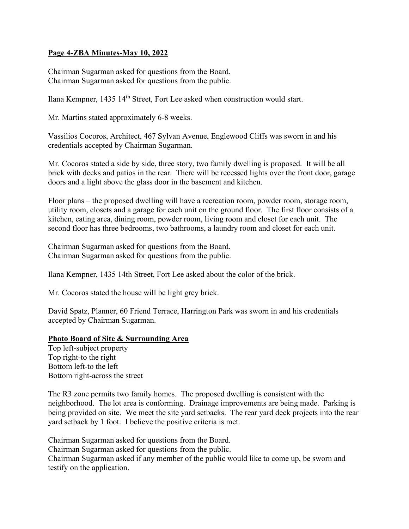#### Page 4-ZBA Minutes-May 10, 2022

Chairman Sugarman asked for questions from the Board. Chairman Sugarman asked for questions from the public.

Ilana Kempner, 1435 14<sup>th</sup> Street, Fort Lee asked when construction would start.

Mr. Martins stated approximately 6-8 weeks.

Vassilios Cocoros, Architect, 467 Sylvan Avenue, Englewood Cliffs was sworn in and his credentials accepted by Chairman Sugarman.

Mr. Cocoros stated a side by side, three story, two family dwelling is proposed. It will be all brick with decks and patios in the rear. There will be recessed lights over the front door, garage doors and a light above the glass door in the basement and kitchen.

Floor plans – the proposed dwelling will have a recreation room, powder room, storage room, utility room, closets and a garage for each unit on the ground floor. The first floor consists of a kitchen, eating area, dining room, powder room, living room and closet for each unit. The second floor has three bedrooms, two bathrooms, a laundry room and closet for each unit.

Chairman Sugarman asked for questions from the Board. Chairman Sugarman asked for questions from the public.

Ilana Kempner, 1435 14th Street, Fort Lee asked about the color of the brick.

Mr. Cocoros stated the house will be light grey brick.

David Spatz, Planner, 60 Friend Terrace, Harrington Park was sworn in and his credentials accepted by Chairman Sugarman.

#### Photo Board of Site & Surrounding Area

Top left-subject property Top right-to the right Bottom left-to the left Bottom right-across the street

The R3 zone permits two family homes. The proposed dwelling is consistent with the neighborhood. The lot area is conforming. Drainage improvements are being made. Parking is being provided on site. We meet the site yard setbacks. The rear yard deck projects into the rear yard setback by 1 foot. I believe the positive criteria is met.

Chairman Sugarman asked for questions from the Board. Chairman Sugarman asked for questions from the public. Chairman Sugarman asked if any member of the public would like to come up, be sworn and testify on the application.